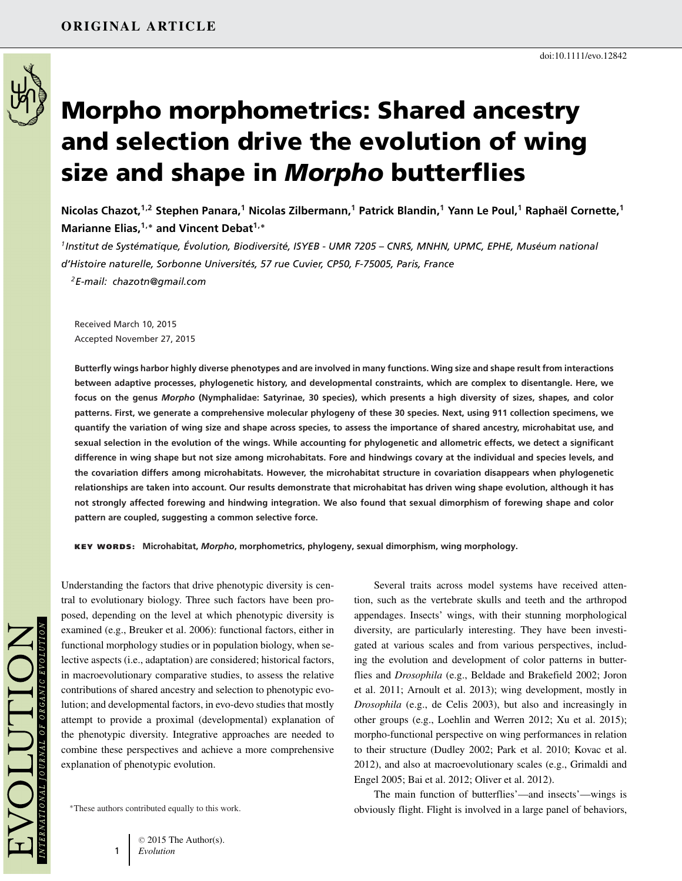

# **Morpho morphometrics: Shared ancestry and selection drive the evolution of wing size and shape in** *Morpho* **butterflies**

**Nicolas Chazot,1,2 Stephen Panara,<sup>1</sup> Nicolas Zilbermann,1 Patrick Blandin,<sup>1</sup> Yann Le Poul,<sup>1</sup> Raphael Cornette, ¨ <sup>1</sup> Marianne Elias,1,<sup>∗</sup> and Vincent Debat1,<sup>∗</sup>**

<sup>1</sup> Institut de Systématique, Évolution, Biodiversité, ISYEB - UMR 7205 – CNRS, MNHN, UPMC, EPHE, Muséum national *d'Histoire naturelle, Sorbonne Universites, 57 rue Cuvier, CP50, F-75005, Paris, France ´ 2E-mail: chazotn@gmail.com*

Received March 10, 2015 Accepted November 27, 2015

**Butterfly wings harbor highly diverse phenotypes and are involved in many functions. Wing size and shape result from interactions between adaptive processes, phylogenetic history, and developmental constraints, which are complex to disentangle. Here, we focus on the genus** *Morpho* **(Nymphalidae: Satyrinae, 30 species), which presents a high diversity of sizes, shapes, and color patterns. First, we generate a comprehensive molecular phylogeny of these 30 species. Next, using 911 collection specimens, we quantify the variation of wing size and shape across species, to assess the importance of shared ancestry, microhabitat use, and sexual selection in the evolution of the wings. While accounting for phylogenetic and allometric effects, we detect a significant difference in wing shape but not size among microhabitats. Fore and hindwings covary at the individual and species levels, and the covariation differs among microhabitats. However, the microhabitat structure in covariation disappears when phylogenetic relationships are taken into account. Our results demonstrate that microhabitat has driven wing shape evolution, although it has not strongly affected forewing and hindwing integration. We also found that sexual dimorphism of forewing shape and color pattern are coupled, suggesting a common selective force.**

**KEY WORDS: Microhabitat,** *Morpho***, morphometrics, phylogeny, sexual dimorphism, wing morphology.**

Understanding the factors that drive phenotypic diversity is central to evolutionary biology. Three such factors have been proposed, depending on the level at which phenotypic diversity is examined (e.g., Breuker et al. 2006): functional factors, either in functional morphology studies or in population biology, when selective aspects (i.e., adaptation) are considered; historical factors, in macroevolutionary comparative studies, to assess the relative contributions of shared ancestry and selection to phenotypic evolution; and developmental factors, in evo-devo studies that mostly attempt to provide a proximal (developmental) explanation of the phenotypic diversity. Integrative approaches are needed to combine these perspectives and achieve a more comprehensive explanation of phenotypic evolution.

∗These authors contributed equally to this work.

Several traits across model systems have received attention, such as the vertebrate skulls and teeth and the arthropod appendages. Insects' wings, with their stunning morphological diversity, are particularly interesting. They have been investigated at various scales and from various perspectives, including the evolution and development of color patterns in butterflies and *Drosophila* (e.g., Beldade and Brakefield 2002; Joron et al. 2011; Arnoult et al. 2013); wing development, mostly in *Drosophila* (e.g., de Celis 2003), but also and increasingly in other groups (e.g., Loehlin and Werren 2012; Xu et al. 2015); morpho-functional perspective on wing performances in relation to their structure (Dudley 2002; Park et al. 2010; Kovac et al. 2012), and also at macroevolutionary scales (e.g., Grimaldi and Engel 2005; Bai et al. 2012; Oliver et al. 2012).

The main function of butterflies'—and insects'—wings is obviously flight. Flight is involved in a large panel of behaviors,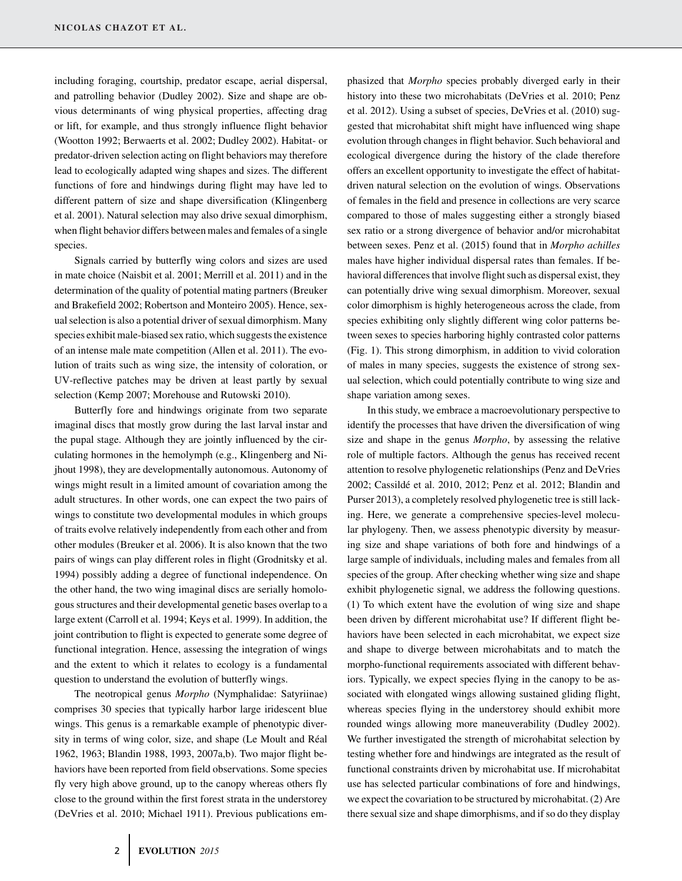including foraging, courtship, predator escape, aerial dispersal, and patrolling behavior (Dudley 2002). Size and shape are obvious determinants of wing physical properties, affecting drag or lift, for example, and thus strongly influence flight behavior (Wootton 1992; Berwaerts et al. 2002; Dudley 2002). Habitat- or predator-driven selection acting on flight behaviors may therefore lead to ecologically adapted wing shapes and sizes. The different functions of fore and hindwings during flight may have led to different pattern of size and shape diversification (Klingenberg et al. 2001). Natural selection may also drive sexual dimorphism, when flight behavior differs between males and females of a single species.

Signals carried by butterfly wing colors and sizes are used in mate choice (Naisbit et al. 2001; Merrill et al. 2011) and in the determination of the quality of potential mating partners (Breuker and Brakefield 2002; Robertson and Monteiro 2005). Hence, sexual selection is also a potential driver of sexual dimorphism. Many species exhibit male-biased sex ratio, which suggests the existence of an intense male mate competition (Allen et al. 2011). The evolution of traits such as wing size, the intensity of coloration, or UV-reflective patches may be driven at least partly by sexual selection (Kemp 2007; Morehouse and Rutowski 2010).

Butterfly fore and hindwings originate from two separate imaginal discs that mostly grow during the last larval instar and the pupal stage. Although they are jointly influenced by the circulating hormones in the hemolymph (e.g., Klingenberg and Nijhout 1998), they are developmentally autonomous. Autonomy of wings might result in a limited amount of covariation among the adult structures. In other words, one can expect the two pairs of wings to constitute two developmental modules in which groups of traits evolve relatively independently from each other and from other modules (Breuker et al. 2006). It is also known that the two pairs of wings can play different roles in flight (Grodnitsky et al. 1994) possibly adding a degree of functional independence. On the other hand, the two wing imaginal discs are serially homologous structures and their developmental genetic bases overlap to a large extent (Carroll et al. 1994; Keys et al. 1999). In addition, the joint contribution to flight is expected to generate some degree of functional integration. Hence, assessing the integration of wings and the extent to which it relates to ecology is a fundamental question to understand the evolution of butterfly wings.

The neotropical genus *Morpho* (Nymphalidae: Satyriinae) comprises 30 species that typically harbor large iridescent blue wings. This genus is a remarkable example of phenotypic diversity in terms of wing color, size, and shape (Le Moult and Real ´ 1962, 1963; Blandin 1988, 1993, 2007a,b). Two major flight behaviors have been reported from field observations. Some species fly very high above ground, up to the canopy whereas others fly close to the ground within the first forest strata in the understorey (DeVries et al. 2010; Michael 1911). Previous publications emphasized that *Morpho* species probably diverged early in their history into these two microhabitats (DeVries et al. 2010; Penz et al. 2012). Using a subset of species, DeVries et al. (2010) suggested that microhabitat shift might have influenced wing shape evolution through changes in flight behavior. Such behavioral and ecological divergence during the history of the clade therefore offers an excellent opportunity to investigate the effect of habitatdriven natural selection on the evolution of wings. Observations of females in the field and presence in collections are very scarce compared to those of males suggesting either a strongly biased sex ratio or a strong divergence of behavior and/or microhabitat between sexes. Penz et al. (2015) found that in *Morpho achilles* males have higher individual dispersal rates than females. If behavioral differences that involve flight such as dispersal exist, they can potentially drive wing sexual dimorphism. Moreover, sexual color dimorphism is highly heterogeneous across the clade, from species exhibiting only slightly different wing color patterns between sexes to species harboring highly contrasted color patterns (Fig. 1). This strong dimorphism, in addition to vivid coloration of males in many species, suggests the existence of strong sexual selection, which could potentially contribute to wing size and shape variation among sexes.

In this study, we embrace a macroevolutionary perspective to identify the processes that have driven the diversification of wing size and shape in the genus *Morpho*, by assessing the relative role of multiple factors. Although the genus has received recent attention to resolve phylogenetic relationships (Penz and DeVries 2002; Cassilde et al. 2010, 2012; Penz et al. 2012; Blandin and ´ Purser 2013), a completely resolved phylogenetic tree is still lacking. Here, we generate a comprehensive species-level molecular phylogeny. Then, we assess phenotypic diversity by measuring size and shape variations of both fore and hindwings of a large sample of individuals, including males and females from all species of the group. After checking whether wing size and shape exhibit phylogenetic signal, we address the following questions. (1) To which extent have the evolution of wing size and shape been driven by different microhabitat use? If different flight behaviors have been selected in each microhabitat, we expect size and shape to diverge between microhabitats and to match the morpho-functional requirements associated with different behaviors. Typically, we expect species flying in the canopy to be associated with elongated wings allowing sustained gliding flight, whereas species flying in the understorey should exhibit more rounded wings allowing more maneuverability (Dudley 2002). We further investigated the strength of microhabitat selection by testing whether fore and hindwings are integrated as the result of functional constraints driven by microhabitat use. If microhabitat use has selected particular combinations of fore and hindwings, we expect the covariation to be structured by microhabitat. (2) Are there sexual size and shape dimorphisms, and if so do they display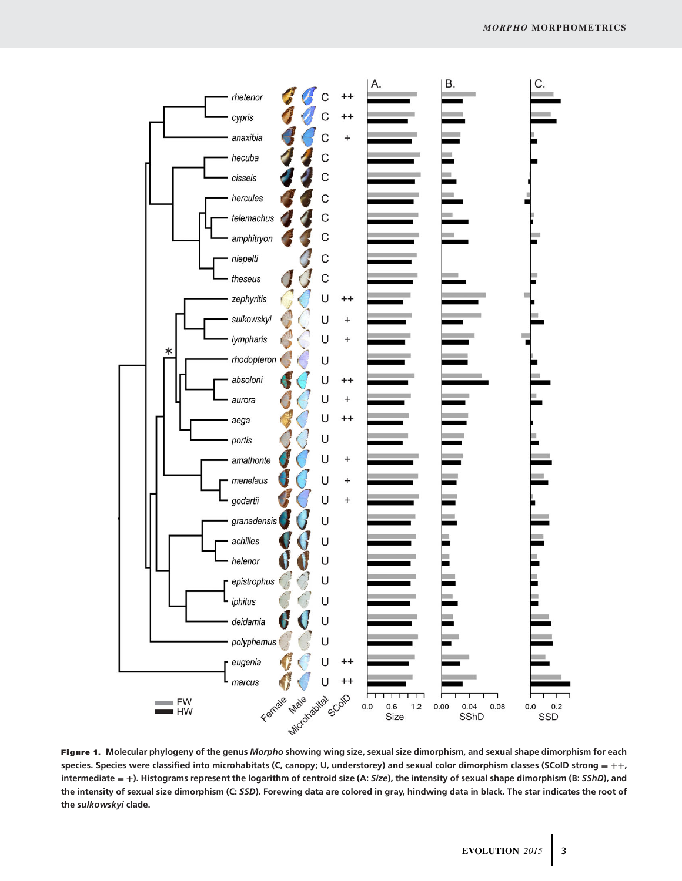

**Figure 1. Molecular phylogeny of the genus** *Morpho* **showing wing size, sexual size dimorphism, and sexual shape dimorphism for each species. Species were classified into microhabitats (C, canopy; U, understorey) and sexual color dimorphism classes (SCoID strong = ++, intermediate = +). Histograms represent the logarithm of centroid size (A:** *Size***), the intensity of sexual shape dimorphism (B:** *SShD***), and the intensity of sexual size dimorphism (C:** *SSD***). Forewing data are colored in gray, hindwing data in black. The star indicates the root of the** *sulkowskyi* **clade.**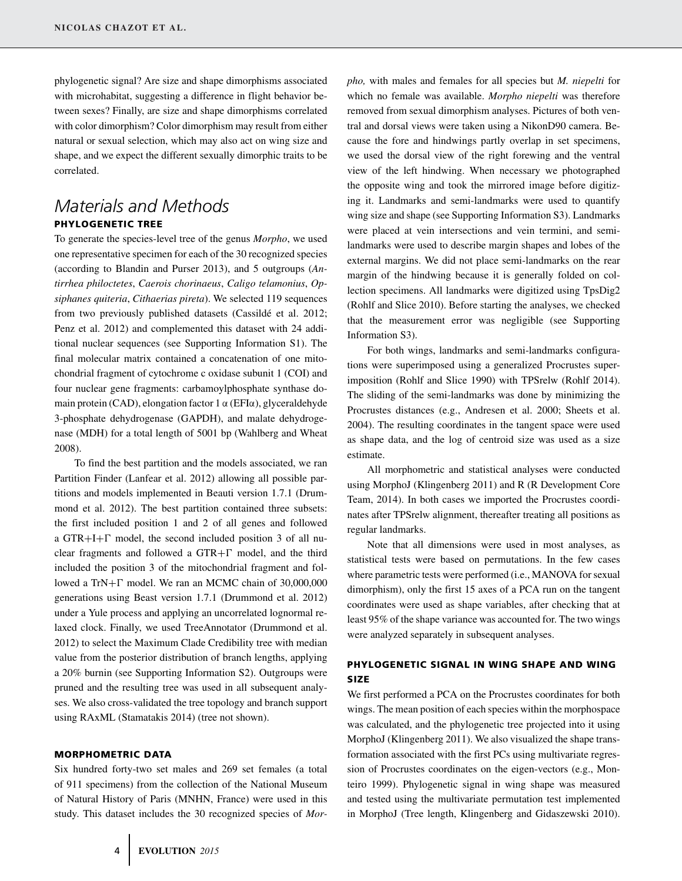phylogenetic signal? Are size and shape dimorphisms associated with microhabitat, suggesting a difference in flight behavior between sexes? Finally, are size and shape dimorphisms correlated with color dimorphism? Color dimorphism may result from either natural or sexual selection, which may also act on wing size and shape, and we expect the different sexually dimorphic traits to be correlated.

# *Materials and Methods* **PHYLOGENETIC TREE**

To generate the species-level tree of the genus *Morpho*, we used one representative specimen for each of the 30 recognized species (according to Blandin and Purser 2013), and 5 outgroups (*Antirrhea philoctetes*, *Caerois chorinaeus*, *Caligo telamonius*, *Opsiphanes quiteria*, *Cithaerias pireta*). We selected 119 sequences from two previously published datasets (Cassildé et al. 2012; Penz et al. 2012) and complemented this dataset with 24 additional nuclear sequences (see Supporting Information S1). The final molecular matrix contained a concatenation of one mitochondrial fragment of cytochrome c oxidase subunit 1 (COI) and four nuclear gene fragments: carbamoylphosphate synthase domain protein (CAD), elongation factor 1 α (EFIα), glyceraldehyde 3-phosphate dehydrogenase (GAPDH), and malate dehydrogenase (MDH) for a total length of 5001 bp (Wahlberg and Wheat 2008).

To find the best partition and the models associated, we ran Partition Finder (Lanfear et al. 2012) allowing all possible partitions and models implemented in Beauti version 1.7.1 (Drummond et al. 2012). The best partition contained three subsets: the first included position 1 and 2 of all genes and followed a  $GTR+I+\Gamma$  model, the second included position 3 of all nuclear fragments and followed a  $GTR + \Gamma$  model, and the third included the position 3 of the mitochondrial fragment and followed a  $TrN + \Gamma$  model. We ran an MCMC chain of 30,000,000 generations using Beast version 1.7.1 (Drummond et al. 2012) under a Yule process and applying an uncorrelated lognormal relaxed clock. Finally, we used TreeAnnotator (Drummond et al. 2012) to select the Maximum Clade Credibility tree with median value from the posterior distribution of branch lengths, applying a 20% burnin (see Supporting Information S2). Outgroups were pruned and the resulting tree was used in all subsequent analyses. We also cross-validated the tree topology and branch support using RAxML (Stamatakis 2014) (tree not shown).

#### **MORPHOMETRIC DATA**

Six hundred forty-two set males and 269 set females (a total of 911 specimens) from the collection of the National Museum of Natural History of Paris (MNHN, France) were used in this study. This dataset includes the 30 recognized species of *Mor-* *pho,* with males and females for all species but *M. niepelti* for which no female was available. *Morpho niepelti* was therefore removed from sexual dimorphism analyses. Pictures of both ventral and dorsal views were taken using a NikonD90 camera. Because the fore and hindwings partly overlap in set specimens, we used the dorsal view of the right forewing and the ventral view of the left hindwing. When necessary we photographed the opposite wing and took the mirrored image before digitizing it. Landmarks and semi-landmarks were used to quantify wing size and shape (see Supporting Information S3). Landmarks were placed at vein intersections and vein termini, and semilandmarks were used to describe margin shapes and lobes of the external margins. We did not place semi-landmarks on the rear margin of the hindwing because it is generally folded on collection specimens. All landmarks were digitized using TpsDig2 (Rohlf and Slice 2010). Before starting the analyses, we checked that the measurement error was negligible (see Supporting Information S3).

For both wings, landmarks and semi-landmarks configurations were superimposed using a generalized Procrustes superimposition (Rohlf and Slice 1990) with TPSrelw (Rohlf 2014). The sliding of the semi-landmarks was done by minimizing the Procrustes distances (e.g., Andresen et al. 2000; Sheets et al. 2004). The resulting coordinates in the tangent space were used as shape data, and the log of centroid size was used as a size estimate.

All morphometric and statistical analyses were conducted using MorphoJ (Klingenberg 2011) and R (R Development Core Team, 2014). In both cases we imported the Procrustes coordinates after TPSrelw alignment, thereafter treating all positions as regular landmarks.

Note that all dimensions were used in most analyses, as statistical tests were based on permutations. In the few cases where parametric tests were performed (i.e., MANOVA for sexual dimorphism), only the first 15 axes of a PCA run on the tangent coordinates were used as shape variables, after checking that at least 95% of the shape variance was accounted for. The two wings were analyzed separately in subsequent analyses.

## **PHYLOGENETIC SIGNAL IN WING SHAPE AND WING SIZE**

We first performed a PCA on the Procrustes coordinates for both wings. The mean position of each species within the morphospace was calculated, and the phylogenetic tree projected into it using MorphoJ (Klingenberg 2011). We also visualized the shape transformation associated with the first PCs using multivariate regression of Procrustes coordinates on the eigen-vectors (e.g., Monteiro 1999). Phylogenetic signal in wing shape was measured and tested using the multivariate permutation test implemented in MorphoJ (Tree length, Klingenberg and Gidaszewski 2010).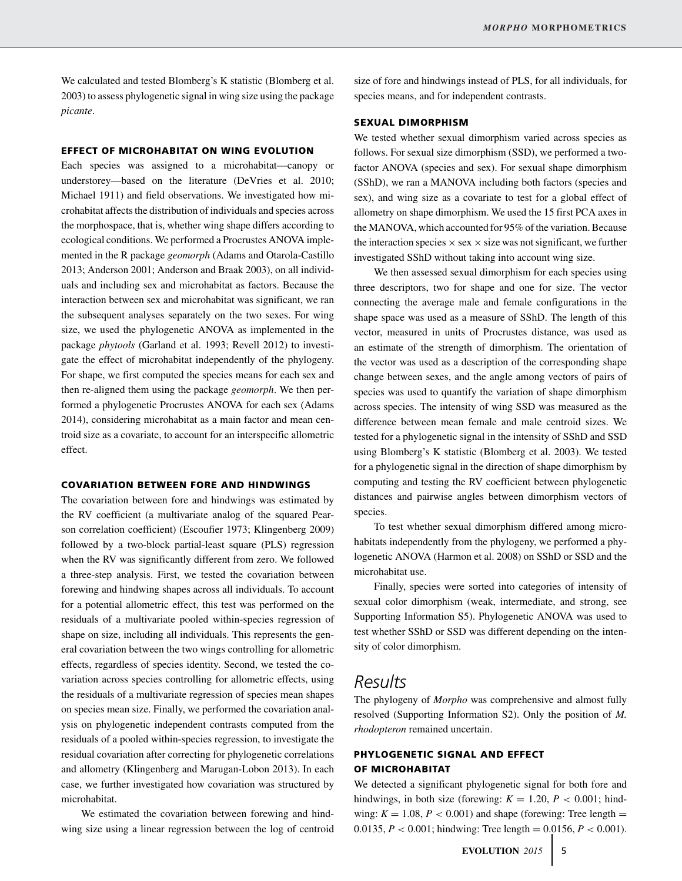We calculated and tested Blomberg's K statistic (Blomberg et al. 2003) to assess phylogenetic signal in wing size using the package *picante*.

#### **EFFECT OF MICROHABITAT ON WING EVOLUTION**

Each species was assigned to a microhabitat—canopy or understorey—based on the literature (DeVries et al. 2010; Michael 1911) and field observations. We investigated how microhabitat affects the distribution of individuals and species across the morphospace, that is, whether wing shape differs according to ecological conditions. We performed a Procrustes ANOVA implemented in the R package *geomorph* (Adams and Otarola-Castillo 2013; Anderson 2001; Anderson and Braak 2003), on all individuals and including sex and microhabitat as factors. Because the interaction between sex and microhabitat was significant, we ran the subsequent analyses separately on the two sexes. For wing size, we used the phylogenetic ANOVA as implemented in the package *phytools* (Garland et al. 1993; Revell 2012) to investigate the effect of microhabitat independently of the phylogeny. For shape, we first computed the species means for each sex and then re-aligned them using the package *geomorph*. We then performed a phylogenetic Procrustes ANOVA for each sex (Adams 2014), considering microhabitat as a main factor and mean centroid size as a covariate, to account for an interspecific allometric effect.

#### **COVARIATION BETWEEN FORE AND HINDWINGS**

The covariation between fore and hindwings was estimated by the RV coefficient (a multivariate analog of the squared Pearson correlation coefficient) (Escoufier 1973; Klingenberg 2009) followed by a two-block partial-least square (PLS) regression when the RV was significantly different from zero. We followed a three-step analysis. First, we tested the covariation between forewing and hindwing shapes across all individuals. To account for a potential allometric effect, this test was performed on the residuals of a multivariate pooled within-species regression of shape on size, including all individuals. This represents the general covariation between the two wings controlling for allometric effects, regardless of species identity. Second, we tested the covariation across species controlling for allometric effects, using the residuals of a multivariate regression of species mean shapes on species mean size. Finally, we performed the covariation analysis on phylogenetic independent contrasts computed from the residuals of a pooled within-species regression, to investigate the residual covariation after correcting for phylogenetic correlations and allometry (Klingenberg and Marugan-Lobon 2013). In each case, we further investigated how covariation was structured by microhabitat.

We estimated the covariation between forewing and hindwing size using a linear regression between the log of centroid size of fore and hindwings instead of PLS, for all individuals, for species means, and for independent contrasts.

#### **SEXUAL DIMORPHISM**

We tested whether sexual dimorphism varied across species as follows. For sexual size dimorphism (SSD), we performed a twofactor ANOVA (species and sex). For sexual shape dimorphism (SShD), we ran a MANOVA including both factors (species and sex), and wing size as a covariate to test for a global effect of allometry on shape dimorphism. We used the 15 first PCA axes in the MANOVA, which accounted for 95% of the variation. Because the interaction species  $\times$  sex  $\times$  size was not significant, we further investigated SShD without taking into account wing size.

We then assessed sexual dimorphism for each species using three descriptors, two for shape and one for size. The vector connecting the average male and female configurations in the shape space was used as a measure of SShD. The length of this vector, measured in units of Procrustes distance, was used as an estimate of the strength of dimorphism. The orientation of the vector was used as a description of the corresponding shape change between sexes, and the angle among vectors of pairs of species was used to quantify the variation of shape dimorphism across species. The intensity of wing SSD was measured as the difference between mean female and male centroid sizes. We tested for a phylogenetic signal in the intensity of SShD and SSD using Blomberg's K statistic (Blomberg et al. 2003). We tested for a phylogenetic signal in the direction of shape dimorphism by computing and testing the RV coefficient between phylogenetic distances and pairwise angles between dimorphism vectors of species.

To test whether sexual dimorphism differed among microhabitats independently from the phylogeny, we performed a phylogenetic ANOVA (Harmon et al. 2008) on SShD or SSD and the microhabitat use.

Finally, species were sorted into categories of intensity of sexual color dimorphism (weak, intermediate, and strong, see Supporting Information S5). Phylogenetic ANOVA was used to test whether SShD or SSD was different depending on the intensity of color dimorphism.

# *Results*

The phylogeny of *Morpho* was comprehensive and almost fully resolved (Supporting Information S2). Only the position of *M. rhodopteron* remained uncertain.

### **PHYLOGENETIC SIGNAL AND EFFECT OF MICROHABITAT**

We detected a significant phylogenetic signal for both fore and hindwings, in both size (forewing:  $K = 1.20$ ,  $P < 0.001$ ; hindwing:  $K = 1.08$ ,  $P < 0.001$ ) and shape (forewing: Tree length = 0.0135,  $P < 0.001$ ; hindwing: Tree length = 0.0156,  $P < 0.001$ ).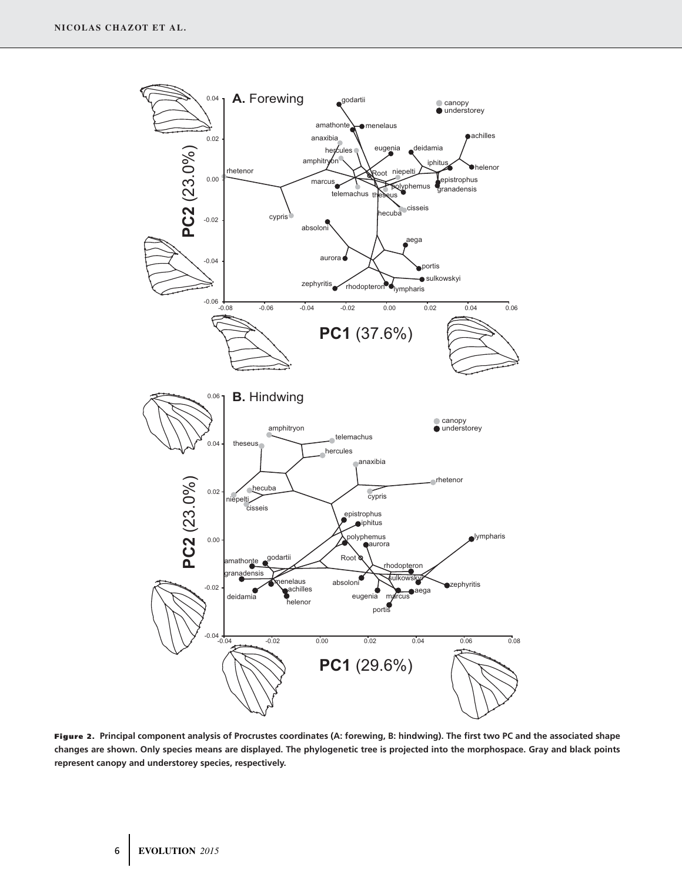

**Figure 2. Principal component analysis of Procrustes coordinates (A: forewing, B: hindwing). The first two PC and the associated shape changes are shown. Only species means are displayed. The phylogenetic tree is projected into the morphospace. Gray and black points represent canopy and understorey species, respectively.**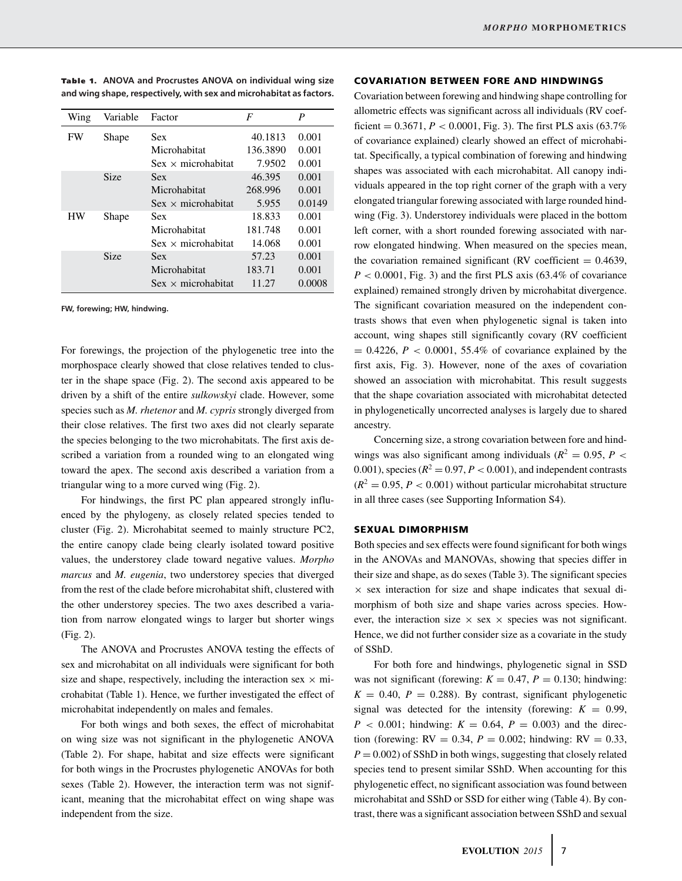| Wing      | Variable    | Factor                    | F        | P      |
|-----------|-------------|---------------------------|----------|--------|
| FW        | Shape       | Sex                       | 40.1813  | 0.001  |
|           |             | Microhabitat              | 136.3890 | 0.001  |
|           |             | $Sex \times microhabitat$ | 7.9502   | 0.001  |
|           | <b>Size</b> | <b>Sex</b>                | 46.395   | 0.001  |
|           |             | Microhabitat              | 268.996  | 0.001  |
|           |             | $Sex \times microhabitat$ | 5.955    | 0.0149 |
| <b>HW</b> | Shape       | <b>Sex</b>                | 18.833   | 0.001  |
|           |             | Microhabitat              | 181.748  | 0.001  |
|           |             | $Sex \times microhabitat$ | 14.068   | 0.001  |
|           | <b>Size</b> | Sex                       | 57.23    | 0.001  |
|           |             | Microhabitat              | 183.71   | 0.001  |
|           |             | $Sex \times microhabitat$ | 11.27    | 0.0008 |

**Table 1.** ANOVA and Procrustes ANOVA on individual wing size **and wing shape, respectively, with sex and microhabitat as factors.**

**FW, forewing; HW, hindwing.**

For forewings, the projection of the phylogenetic tree into the morphospace clearly showed that close relatives tended to cluster in the shape space (Fig. 2). The second axis appeared to be driven by a shift of the entire *sulkowskyi* clade. However, some species such as *M. rhetenor* and *M. cypris* strongly diverged from their close relatives. The first two axes did not clearly separate the species belonging to the two microhabitats. The first axis described a variation from a rounded wing to an elongated wing toward the apex. The second axis described a variation from a triangular wing to a more curved wing (Fig. 2).

For hindwings, the first PC plan appeared strongly influenced by the phylogeny, as closely related species tended to cluster (Fig. 2). Microhabitat seemed to mainly structure PC2, the entire canopy clade being clearly isolated toward positive values, the understorey clade toward negative values. *Morpho marcus* and *M. eugenia*, two understorey species that diverged from the rest of the clade before microhabitat shift, clustered with the other understorey species. The two axes described a variation from narrow elongated wings to larger but shorter wings (Fig. 2).

The ANOVA and Procrustes ANOVA testing the effects of sex and microhabitat on all individuals were significant for both size and shape, respectively, including the interaction sex  $\times$  microhabitat (Table 1). Hence, we further investigated the effect of microhabitat independently on males and females.

For both wings and both sexes, the effect of microhabitat on wing size was not significant in the phylogenetic ANOVA (Table 2). For shape, habitat and size effects were significant for both wings in the Procrustes phylogenetic ANOVAs for both sexes (Table 2). However, the interaction term was not significant, meaning that the microhabitat effect on wing shape was independent from the size.

#### **COVARIATION BETWEEN FORE AND HINDWINGS**

Covariation between forewing and hindwing shape controlling for allometric effects was significant across all individuals (RV coefficient  $= 0.3671$ ,  $P < 0.0001$ , Fig. 3). The first PLS axis (63.7%) of covariance explained) clearly showed an effect of microhabitat. Specifically, a typical combination of forewing and hindwing shapes was associated with each microhabitat. All canopy individuals appeared in the top right corner of the graph with a very elongated triangular forewing associated with large rounded hindwing (Fig. 3). Understorey individuals were placed in the bottom left corner, with a short rounded forewing associated with narrow elongated hindwing. When measured on the species mean, the covariation remained significant (RV coefficient  $= 0.4639$ ,  $P < 0.0001$ , Fig. 3) and the first PLS axis (63.4% of covariance explained) remained strongly driven by microhabitat divergence. The significant covariation measured on the independent contrasts shows that even when phylogenetic signal is taken into account, wing shapes still significantly covary (RV coefficient  $= 0.4226, P < 0.0001, 55.4%$  of covariance explained by the first axis, Fig. 3). However, none of the axes of covariation showed an association with microhabitat. This result suggests that the shape covariation associated with microhabitat detected in phylogenetically uncorrected analyses is largely due to shared ancestry.

Concerning size, a strong covariation between fore and hindwings was also significant among individuals ( $R^2 = 0.95$ ,  $P <$ 0.001), species  $(R^2 = 0.97, P < 0.001)$ , and independent contrasts  $(R^2 = 0.95, P < 0.001)$  without particular microhabitat structure in all three cases (see Supporting Information S4).

#### **SEXUAL DIMORPHISM**

Both species and sex effects were found significant for both wings in the ANOVAs and MANOVAs, showing that species differ in their size and shape, as do sexes (Table 3). The significant species  $\times$  sex interaction for size and shape indicates that sexual dimorphism of both size and shape varies across species. However, the interaction size  $\times$  sex  $\times$  species was not significant. Hence, we did not further consider size as a covariate in the study of SShD.

For both fore and hindwings, phylogenetic signal in SSD was not significant (forewing:  $K = 0.47$ ,  $P = 0.130$ ; hindwing:  $K = 0.40$ ,  $P = 0.288$ ). By contrast, significant phylogenetic signal was detected for the intensity (forewing:  $K = 0.99$ ,  $P$  < 0.001; hindwing:  $K = 0.64$ ,  $P = 0.003$ ) and the direction (forewing:  $RV = 0.34, P = 0.002$ ; hindwing:  $RV = 0.33$ ,  $P = 0.002$  of SShD in both wings, suggesting that closely related species tend to present similar SShD. When accounting for this phylogenetic effect, no significant association was found between microhabitat and SShD or SSD for either wing (Table 4). By contrast, there was a significant association between SShD and sexual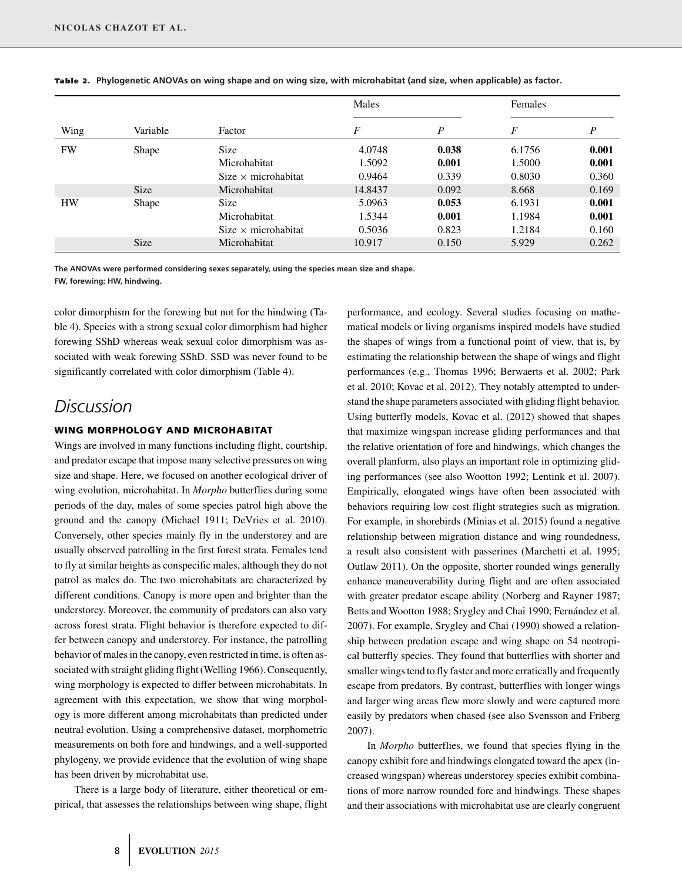|           |             |                            | Males   |                  | Females |       |
|-----------|-------------|----------------------------|---------|------------------|---------|-------|
| Wing      | Variable    | Factor                     | F       | $\boldsymbol{P}$ | F       | P     |
| <b>FW</b> | Shape       | <b>Size</b>                | 4.0748  | 0.038            | 6.1756  | 0.001 |
|           |             | Microhabitat               | 1.5092  | 0.001            | 1.5000  | 0.001 |
|           |             | $Size \times microhabitat$ | 0.9464  | 0.339            | 0.8030  | 0.360 |
|           | <b>Size</b> | Microhabitat               | 14.8437 | 0.092            | 8.668   | 0.169 |
| <b>HW</b> | Shape       | <b>Size</b>                | 5.0963  | 0.053            | 6.1931  | 0.001 |
|           |             | Microhabitat               | 1.5344  | 0.001            | 1.1984  | 0.001 |
|           |             | $Size \times microhabitat$ | 0.5036  | 0.823            | 1.2184  | 0.160 |
|           | <b>Size</b> | Microhabitat               | 10.917  | 0.150            | 5.929   | 0.262 |

**Tab le 2 . Phylogenetic ANOVAs on wing shape and on wing size, with microhabitat (and size, when applicable) as factor.**

**The ANOVAs were performed considering sexes separately, using the species mean size and shape. FW, forewing; HW, hindwing.**

color dimorphism for the forewing but not for the hindwing (Table 4). Species with a strong sexual color dimorphism had higher forewing SShD whereas weak sexual color dimorphism was associated with weak forewing SShD. SSD was never found to be significantly correlated with color dimorphism (Table 4).

# *Discussion*

#### **WING MORPHOLOGY AND MICROHABITAT**

Wings are involved in many functions including flight, courtship, and predator escape that impose many selective pressures on wing size and shape. Here, we focused on another ecological driver of wing evolution, microhabitat. In *Morpho* butterflies during some periods of the day, males of some species patrol high above the ground and the canopy (Michael 1911; DeVries et al. 2010). Conversely, other species mainly fly in the understorey and are usually observed patrolling in the first forest strata. Females tend to fly at similar heights as conspecific males, although they do not patrol as males do. The two microhabitats are characterized by different conditions. Canopy is more open and brighter than the understorey. Moreover, the community of predators can also vary across forest strata. Flight behavior is therefore expected to differ between canopy and understorey. For instance, the patrolling behavior of males in the canopy, even restricted in time, is often associated with straight gliding flight (Welling 1966). Consequently, wing morphology is expected to differ between microhabitats. In agreement with this expectation, we show that wing morphology is more different among microhabitats than predicted under neutral evolution. Using a comprehensive dataset, morphometric measurements on both fore and hindwings, and a well-supported phylogeny, we provide evidence that the evolution of wing shape has been driven by microhabitat use.

There is a large body of literature, either theoretical or empirical, that assesses the relationships between wing shape, flight performance, and ecology. Several studies focusing on mathematical models or living organisms inspired models have studied the shapes of wings from a functional point of view, that is, by estimating the relationship between the shape of wings and flight performances (e.g., Thomas 1996; Berwaerts et al. 2002; Park et al. 2010; Kovac et al. 2012). They notably attempted to understand the shape parameters associated with gliding flight behavior. Using butterfly models, Kovac et al. (2012) showed that shapes that maximize wingspan increase gliding performances and that the relative orientation of fore and hindwings, which changes the overall planform, also plays an important role in optimizing gliding performances (see also Wootton 1992; Lentink et al. 2007). Empirically, elongated wings have often been associated with behaviors requiring low cost flight strategies such as migration. For example, in shorebirds (Minias et al. 2015) found a negative relationship between migration distance and wing roundedness, a result also consistent with passerines (Marchetti et al. 1995; Outlaw 2011). On the opposite, shorter rounded wings generally enhance maneuverability during flight and are often associated with greater predator escape ability (Norberg and Rayner 1987; Betts and Wootton 1988; Srygley and Chai 1990; Fernández et al. 2007). For example, Srygley and Chai (1990) showed a relationship between predation escape and wing shape on 54 neotropical butterfly species. They found that butterflies with shorter and smaller wings tend to fly faster and more erratically and frequently escape from predators. By contrast, butterflies with longer wings and larger wing areas flew more slowly and were captured more easily by predators when chased (see also Svensson and Friberg 2007).

In *Morpho* butterflies, we found that species flying in the canopy exhibit fore and hindwings elongated toward the apex (increased wingspan) whereas understorey species exhibit combinations of more narrow rounded fore and hindwings. These shapes and their associations with microhabitat use are clearly congruent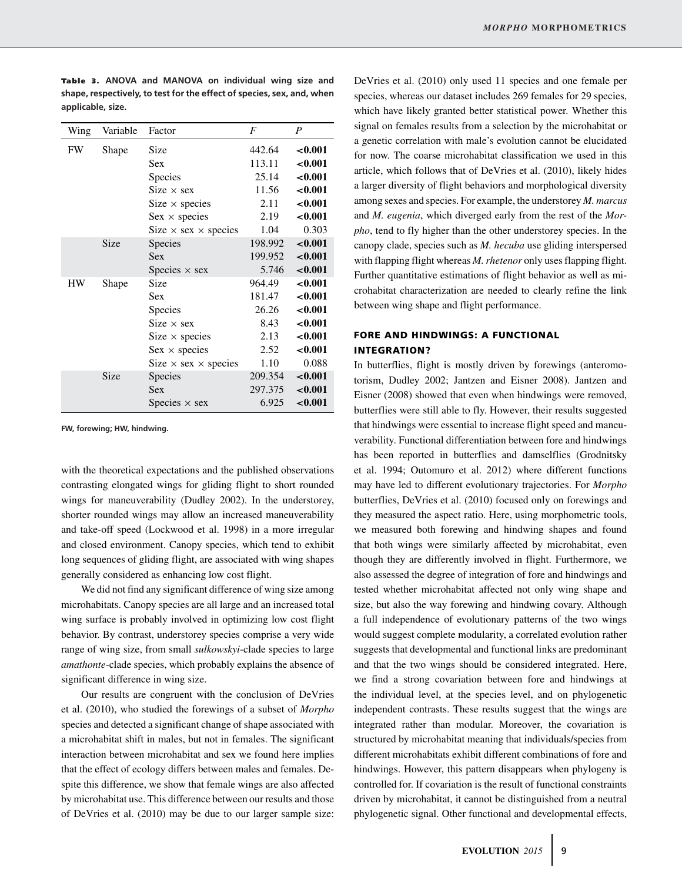| Wing      | Variable | Factor                             | $\overline{F}$ | $\boldsymbol{P}$ |
|-----------|----------|------------------------------------|----------------|------------------|
| <b>FW</b> | Shape    | Size                               | 442.64         | < 0.001          |
|           |          | Sex                                | 113.11         | < 0.001          |
|           |          | Species                            | 25.14          | < 0.001          |
|           |          | Size $\times$ sex                  | 11.56          | < 0.001          |
|           |          | $Size \times species$              | 2.11           | < 0.001          |
|           |          | $Sex \times species$               | 2.19           | ${<}0.001$       |
|           |          | Size $\times$ sex $\times$ species | 1.04           | 0.303            |
|           | Size     | <b>Species</b>                     | 198.992        | $-0.001$         |
|           |          | Sex                                | 199.952        | < 0.001          |
|           |          | Species $\times$ sex               | 5.746          | < 0.001          |
| HW        | Shape    | Size                               | 964.49         | < 0.001          |
|           |          | Sex                                | 181.47         | < 0.001          |
|           |          | <b>Species</b>                     | 26.26          | < 0.001          |
|           |          | $Size \times sex$                  | 8.43           | < 0.001          |
|           |          | Size $\times$ species              | 2.13           | < 0.001          |
|           |          | $Sex \times species$               | 2.52           | ${<}0.001$       |
|           |          | Size $\times$ sex $\times$ species | 1.10           | 0.088            |
|           | Size     | Species                            | 209.354        | $-0.001$         |
|           |          | Sex                                | 297.375        | < 0.001          |
|           |          | Species $\times$ sex               | 6.925          | ${<}0.001$       |

**Tab le 3 . ANOVA and MANOVA on individual wing size and shape, respectively, to test for the effect of species, sex, and, when applicable, size.**

**FW, forewing; HW, hindwing.**

with the theoretical expectations and the published observations contrasting elongated wings for gliding flight to short rounded wings for maneuverability (Dudley 2002). In the understorey, shorter rounded wings may allow an increased maneuverability and take-off speed (Lockwood et al. 1998) in a more irregular and closed environment. Canopy species, which tend to exhibit long sequences of gliding flight, are associated with wing shapes generally considered as enhancing low cost flight.

We did not find any significant difference of wing size among microhabitats. Canopy species are all large and an increased total wing surface is probably involved in optimizing low cost flight behavior. By contrast, understorey species comprise a very wide range of wing size, from small *sulkowskyi*-clade species to large *amathonte*-clade species, which probably explains the absence of significant difference in wing size.

Our results are congruent with the conclusion of DeVries et al. (2010), who studied the forewings of a subset of *Morpho* species and detected a significant change of shape associated with a microhabitat shift in males, but not in females. The significant interaction between microhabitat and sex we found here implies that the effect of ecology differs between males and females. Despite this difference, we show that female wings are also affected by microhabitat use. This difference between our results and those of DeVries et al. (2010) may be due to our larger sample size:

DeVries et al. (2010) only used 11 species and one female per species, whereas our dataset includes 269 females for 29 species, which have likely granted better statistical power. Whether this signal on females results from a selection by the microhabitat or a genetic correlation with male's evolution cannot be elucidated for now. The coarse microhabitat classification we used in this article, which follows that of DeVries et al. (2010), likely hides a larger diversity of flight behaviors and morphological diversity among sexes and species. For example, the understorey *M. marcus* and *M. eugenia*, which diverged early from the rest of the *Morpho*, tend to fly higher than the other understorey species. In the canopy clade, species such as *M. hecuba* use gliding interspersed with flapping flight whereas *M. rhetenor* only uses flapping flight. Further quantitative estimations of flight behavior as well as microhabitat characterization are needed to clearly refine the link between wing shape and flight performance.

## **FORE AND HINDWINGS: A FUNCTIONAL INTEGRATION?**

In butterflies, flight is mostly driven by forewings (anteromotorism, Dudley 2002; Jantzen and Eisner 2008). Jantzen and Eisner (2008) showed that even when hindwings were removed, butterflies were still able to fly. However, their results suggested that hindwings were essential to increase flight speed and maneuverability. Functional differentiation between fore and hindwings has been reported in butterflies and damselflies (Grodnitsky et al. 1994; Outomuro et al. 2012) where different functions may have led to different evolutionary trajectories. For *Morpho* butterflies, DeVries et al. (2010) focused only on forewings and they measured the aspect ratio. Here, using morphometric tools, we measured both forewing and hindwing shapes and found that both wings were similarly affected by microhabitat, even though they are differently involved in flight. Furthermore, we also assessed the degree of integration of fore and hindwings and tested whether microhabitat affected not only wing shape and size, but also the way forewing and hindwing covary. Although a full independence of evolutionary patterns of the two wings would suggest complete modularity, a correlated evolution rather suggests that developmental and functional links are predominant and that the two wings should be considered integrated. Here, we find a strong covariation between fore and hindwings at the individual level, at the species level, and on phylogenetic independent contrasts. These results suggest that the wings are integrated rather than modular. Moreover, the covariation is structured by microhabitat meaning that individuals/species from different microhabitats exhibit different combinations of fore and hindwings. However, this pattern disappears when phylogeny is controlled for. If covariation is the result of functional constraints driven by microhabitat, it cannot be distinguished from a neutral phylogenetic signal. Other functional and developmental effects,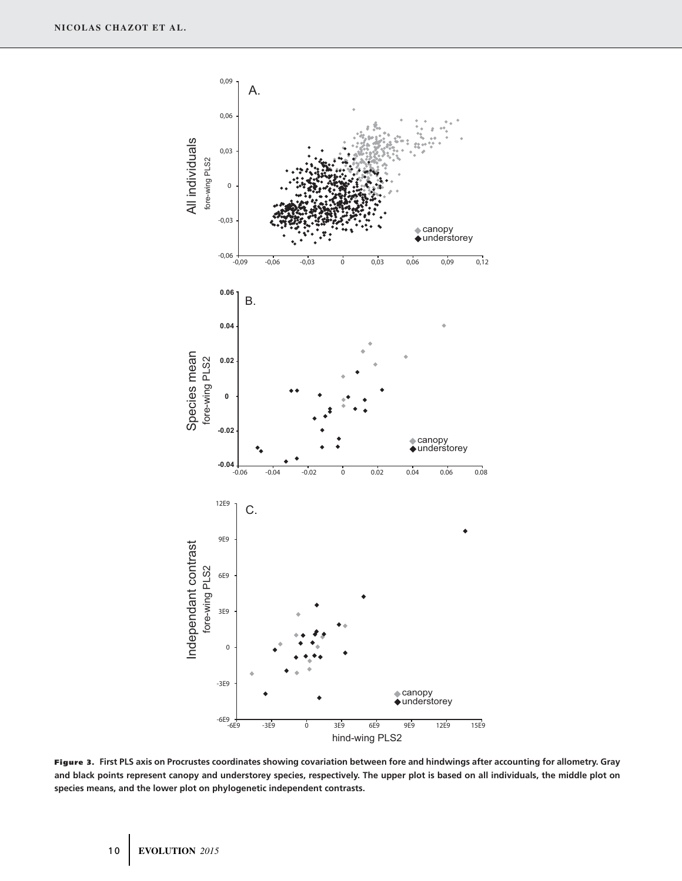

**Figure 3. First PLS axis on Procrustes coordinates showing covariation between fore and hindwings after accounting for allometry. Gray and black points represent canopy and understorey species, respectively. The upper plot is based on all individuals, the middle plot on species means, and the lower plot on phylogenetic independent contrasts.**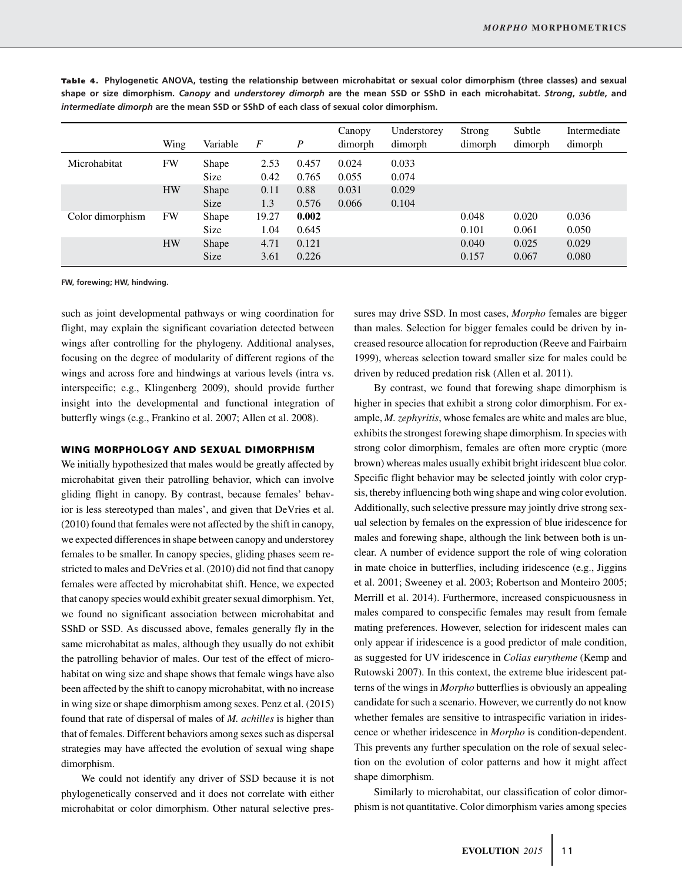|                  | Wing      | Variable             | $\boldsymbol{F}$ | $\boldsymbol{P}$ | Canopy<br>dimorph | Understorey<br>dimorph | Strong<br>dimorph | Subtle<br>dimorph | Intermediate<br>dimorph |
|------------------|-----------|----------------------|------------------|------------------|-------------------|------------------------|-------------------|-------------------|-------------------------|
| Microhabitat     | FW        | Shape<br><b>Size</b> | 2.53<br>0.42     | 0.457<br>0.765   | 0.024<br>0.055    | 0.033<br>0.074         |                   |                   |                         |
|                  | <b>HW</b> | Shape<br><b>Size</b> | 0.11<br>1.3      | 0.88<br>0.576    | 0.031<br>0.066    | 0.029<br>0.104         |                   |                   |                         |
| Color dimorphism | FW        | Shape<br><b>Size</b> | 19.27<br>1.04    | 0.002<br>0.645   |                   |                        | 0.048<br>0.101    | 0.020<br>0.061    | 0.036<br>0.050          |
|                  | <b>HW</b> | Shape                | 4.71             | 0.121            |                   |                        | 0.040             | 0.025             | 0.029                   |
|                  |           | <b>Size</b>          | 3.61             | 0.226            |                   |                        | 0.157             | 0.067             | 0.080                   |

Table 4. Phylogenetic ANOVA, testing the relationship between microhabitat or sexual color dimorphism (three classes) and sexual **shape or size dimorphism.** *Canopy* **and** *understorey dimorph* **are the mean SSD or SShD in each microhabitat.** *Strong***,** *subtle***, and** *intermediate dimorph* **are the mean SSD or SShD of each class of sexual color dimorphism.**

**FW, forewing; HW, hindwing.**

such as joint developmental pathways or wing coordination for flight, may explain the significant covariation detected between wings after controlling for the phylogeny. Additional analyses, focusing on the degree of modularity of different regions of the wings and across fore and hindwings at various levels (intra vs. interspecific; e.g., Klingenberg 2009), should provide further insight into the developmental and functional integration of butterfly wings (e.g., Frankino et al. 2007; Allen et al. 2008).

#### **WING MORPHOLOGY AND SEXUAL DIMORPHISM**

We initially hypothesized that males would be greatly affected by microhabitat given their patrolling behavior, which can involve gliding flight in canopy. By contrast, because females' behavior is less stereotyped than males', and given that DeVries et al. (2010) found that females were not affected by the shift in canopy, we expected differences in shape between canopy and understorey females to be smaller. In canopy species, gliding phases seem restricted to males and DeVries et al. (2010) did not find that canopy females were affected by microhabitat shift. Hence, we expected that canopy species would exhibit greater sexual dimorphism. Yet, we found no significant association between microhabitat and SShD or SSD. As discussed above, females generally fly in the same microhabitat as males, although they usually do not exhibit the patrolling behavior of males. Our test of the effect of microhabitat on wing size and shape shows that female wings have also been affected by the shift to canopy microhabitat, with no increase in wing size or shape dimorphism among sexes. Penz et al. (2015) found that rate of dispersal of males of *M. achilles* is higher than that of females. Different behaviors among sexes such as dispersal strategies may have affected the evolution of sexual wing shape dimorphism.

We could not identify any driver of SSD because it is not phylogenetically conserved and it does not correlate with either microhabitat or color dimorphism. Other natural selective pressures may drive SSD. In most cases, *Morpho* females are bigger than males. Selection for bigger females could be driven by increased resource allocation for reproduction (Reeve and Fairbairn 1999), whereas selection toward smaller size for males could be driven by reduced predation risk (Allen et al. 2011).

By contrast, we found that forewing shape dimorphism is higher in species that exhibit a strong color dimorphism. For example, *M. zephyritis*, whose females are white and males are blue, exhibits the strongest forewing shape dimorphism. In species with strong color dimorphism, females are often more cryptic (more brown) whereas males usually exhibit bright iridescent blue color. Specific flight behavior may be selected jointly with color crypsis, thereby influencing both wing shape and wing color evolution. Additionally, such selective pressure may jointly drive strong sexual selection by females on the expression of blue iridescence for males and forewing shape, although the link between both is unclear. A number of evidence support the role of wing coloration in mate choice in butterflies, including iridescence (e.g., Jiggins et al. 2001; Sweeney et al. 2003; Robertson and Monteiro 2005; Merrill et al. 2014). Furthermore, increased conspicuousness in males compared to conspecific females may result from female mating preferences. However, selection for iridescent males can only appear if iridescence is a good predictor of male condition, as suggested for UV iridescence in *Colias eurytheme* (Kemp and Rutowski 2007). In this context, the extreme blue iridescent patterns of the wings in *Morpho* butterflies is obviously an appealing candidate for such a scenario. However, we currently do not know whether females are sensitive to intraspecific variation in iridescence or whether iridescence in *Morpho* is condition-dependent. This prevents any further speculation on the role of sexual selection on the evolution of color patterns and how it might affect shape dimorphism.

Similarly to microhabitat, our classification of color dimorphism is not quantitative. Color dimorphism varies among species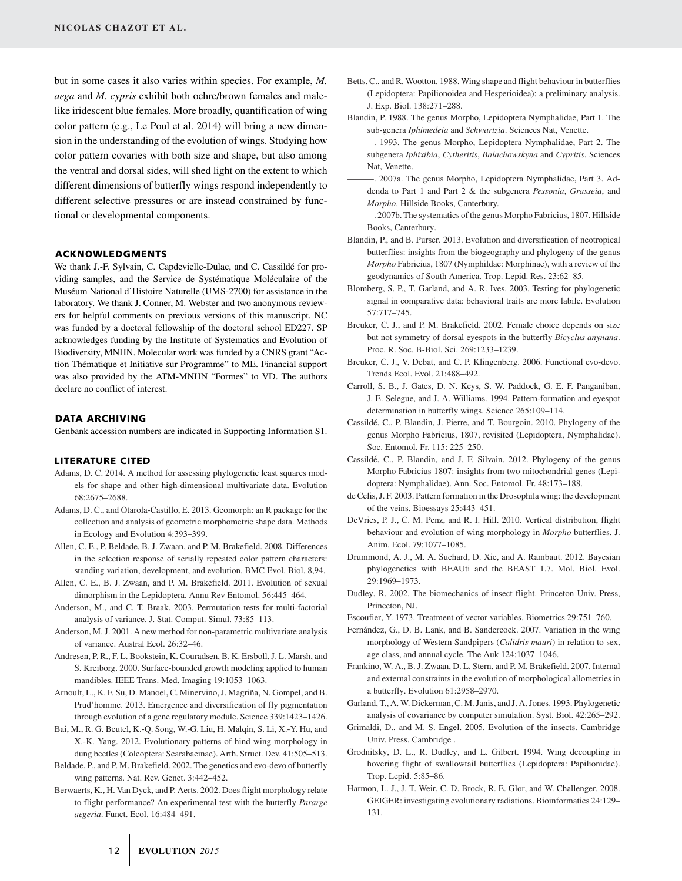but in some cases it also varies within species. For example, *M. aega* and *M. cypris* exhibit both ochre/brown females and malelike iridescent blue females. More broadly, quantification of wing color pattern (e.g., Le Poul et al. 2014) will bring a new dimension in the understanding of the evolution of wings. Studying how color pattern covaries with both size and shape, but also among the ventral and dorsal sides, will shed light on the extent to which different dimensions of butterfly wings respond independently to different selective pressures or are instead constrained by functional or developmental components.

#### **ACKNOWLEDGMENTS**

We thank J.-F. Sylvain, C. Capdevielle-Dulac, and C. Cassildé for providing samples, and the Service de Systématique Moléculaire of the Museum National d'Histoire Naturelle (UMS-2700) for assistance in the ´ laboratory. We thank J. Conner, M. Webster and two anonymous reviewers for helpful comments on previous versions of this manuscript. NC was funded by a doctoral fellowship of the doctoral school ED227. SP acknowledges funding by the Institute of Systematics and Evolution of Biodiversity, MNHN. Molecular work was funded by a CNRS grant "Action Thématique et Initiative sur Programme" to ME. Financial support was also provided by the ATM-MNHN "Formes" to VD. The authors declare no conflict of interest.

#### **DATA ARCHIVING**

Genbank accession numbers are indicated in Supporting Information S1.

#### **LITERATURE CITED**

- Adams, D. C. 2014. A method for assessing phylogenetic least squares models for shape and other high-dimensional multivariate data. Evolution 68:2675–2688.
- Adams, D. C., and Otarola-Castillo, E. 2013. Geomorph: an R package for the collection and analysis of geometric morphometric shape data. Methods in Ecology and Evolution 4:393–399.
- Allen, C. E., P. Beldade, B. J. Zwaan, and P. M. Brakefield. 2008. Differences in the selection response of serially repeated color pattern characters: standing variation, development, and evolution. BMC Evol. Biol. 8,94.
- Allen, C. E., B. J. Zwaan, and P. M. Brakefield. 2011. Evolution of sexual dimorphism in the Lepidoptera. Annu Rev Entomol. 56:445–464.
- Anderson, M., and C. T. Braak. 2003. Permutation tests for multi-factorial analysis of variance. J. Stat. Comput. Simul. 73:85–113.
- Anderson, M. J. 2001. A new method for non-parametric multivariate analysis of variance. Austral Ecol. 26:32–46.
- Andresen, P. R., F. L. Bookstein, K. Couradsen, B. K. Ersboll, J. L. Marsh, and S. Kreiborg. 2000. Surface-bounded growth modeling applied to human mandibles. IEEE Trans. Med. Imaging 19:1053–1063.
- Arnoult, L., K. F. Su, D. Manoel, C. Minervino, J. Magriña, N. Gompel, and B. Prud'homme. 2013. Emergence and diversification of fly pigmentation through evolution of a gene regulatory module. Science 339:1423–1426.
- Bai, M., R. G. Beutel, K.-Q. Song, W.-G. Liu, H. Malqin, S. Li, X.-Y. Hu, and X.-K. Yang. 2012. Evolutionary patterns of hind wing morphology in dung beetles (Coleoptera: Scarabaeinae). Arth. Struct. Dev. 41:505–513.
- Beldade, P., and P. M. Brakefield. 2002. The genetics and evo-devo of butterfly wing patterns. Nat. Rev. Genet. 3:442–452.
- Berwaerts, K., H. Van Dyck, and P. Aerts. 2002. Does flight morphology relate to flight performance? An experimental test with the butterfly *Pararge aegeria*. Funct. Ecol. 16:484–491.
- Betts, C., and R. Wootton. 1988. Wing shape and flight behaviour in butterflies (Lepidoptera: Papilionoidea and Hesperioidea): a preliminary analysis. J. Exp. Biol. 138:271–288.
- Blandin, P. 1988. The genus Morpho, Lepidoptera Nymphalidae, Part 1. The sub-genera *Iphimedeia* and *Schwartzia*. Sciences Nat, Venette.
- -. 1993. The genus Morpho, Lepidoptera Nymphalidae, Part 2. The subgenera *Iphixibia*, *Cytheritis*, *Balachowskyna* and *Cypritis*. Sciences Nat, Venette.
- ———. 2007a. The genus Morpho, Lepidoptera Nymphalidae, Part 3. Addenda to Part 1 and Part 2 & the subgenera *Pessonia*, *Grasseia*, and *Morpho*. Hillside Books, Canterbury.
- ———. 2007b. The systematics of the genus Morpho Fabricius, 1807. Hillside Books, Canterbury.
- Blandin, P., and B. Purser. 2013. Evolution and diversification of neotropical butterflies: insights from the biogeography and phylogeny of the genus *Morpho* Fabricius, 1807 (Nymphildae: Morphinae), with a review of the geodynamics of South America. Trop. Lepid. Res. 23:62–85.
- Blomberg, S. P., T. Garland, and A. R. Ives. 2003. Testing for phylogenetic signal in comparative data: behavioral traits are more labile. Evolution 57:717–745.
- Breuker, C. J., and P. M. Brakefield. 2002. Female choice depends on size but not symmetry of dorsal eyespots in the butterfly *Bicyclus anynana*. Proc. R. Soc. B-Biol. Sci. 269:1233–1239.
- Breuker, C. J., V. Debat, and C. P. Klingenberg. 2006. Functional evo-devo. Trends Ecol. Evol. 21:488–492.
- Carroll, S. B., J. Gates, D. N. Keys, S. W. Paddock, G. E. F. Panganiban, J. E. Selegue, and J. A. Williams. 1994. Pattern-formation and eyespot determination in butterfly wings. Science 265:109–114.
- Cassilde, C., P. Blandin, J. Pierre, and T. Bourgoin. 2010. Phylogeny of the ´ genus Morpho Fabricius, 1807, revisited (Lepidoptera, Nymphalidae). Soc. Entomol. Fr. 115: 225–250.
- Cassilde, C., P. Blandin, and J. F. Silvain. 2012. Phylogeny of the genus ´ Morpho Fabricius 1807: insights from two mitochondrial genes (Lepidoptera: Nymphalidae). Ann. Soc. Entomol. Fr. 48:173–188.
- de Celis, J. F. 2003. Pattern formation in the Drosophila wing: the development of the veins. Bioessays 25:443–451.
- DeVries, P. J., C. M. Penz, and R. I. Hill. 2010. Vertical distribution, flight behaviour and evolution of wing morphology in *Morpho* butterflies. J. Anim. Ecol. 79:1077–1085.
- Drummond, A. J., M. A. Suchard, D. Xie, and A. Rambaut. 2012. Bayesian phylogenetics with BEAUti and the BEAST 1.7. Mol. Biol. Evol. 29:1969–1973.
- Dudley, R. 2002. The biomechanics of insect flight. Princeton Univ. Press, Princeton, NJ.
- Escoufier, Y. 1973. Treatment of vector variables. Biometrics 29:751–760.
- Fernández, G., D. B. Lank, and B. Sandercock. 2007. Variation in the wing morphology of Western Sandpipers (*Calidris mauri*) in relation to sex, age class, and annual cycle. The Auk 124:1037–1046.
- Frankino, W. A., B. J. Zwaan, D. L. Stern, and P. M. Brakefield. 2007. Internal and external constraints in the evolution of morphological allometries in a butterfly. Evolution 61:2958–2970.
- Garland, T., A. W. Dickerman, C. M. Janis, and J. A. Jones. 1993. Phylogenetic analysis of covariance by computer simulation. Syst. Biol. 42:265–292.
- Grimaldi, D., and M. S. Engel. 2005. Evolution of the insects. Cambridge Univ. Press. Cambridge .
- Grodnitsky, D. L., R. Dudley, and L. Gilbert. 1994. Wing decoupling in hovering flight of swallowtail butterflies (Lepidoptera: Papilionidae). Trop. Lepid. 5:85–86.
- Harmon, L. J., J. T. Weir, C. D. Brock, R. E. Glor, and W. Challenger. 2008. GEIGER: investigating evolutionary radiations. Bioinformatics 24:129– 131.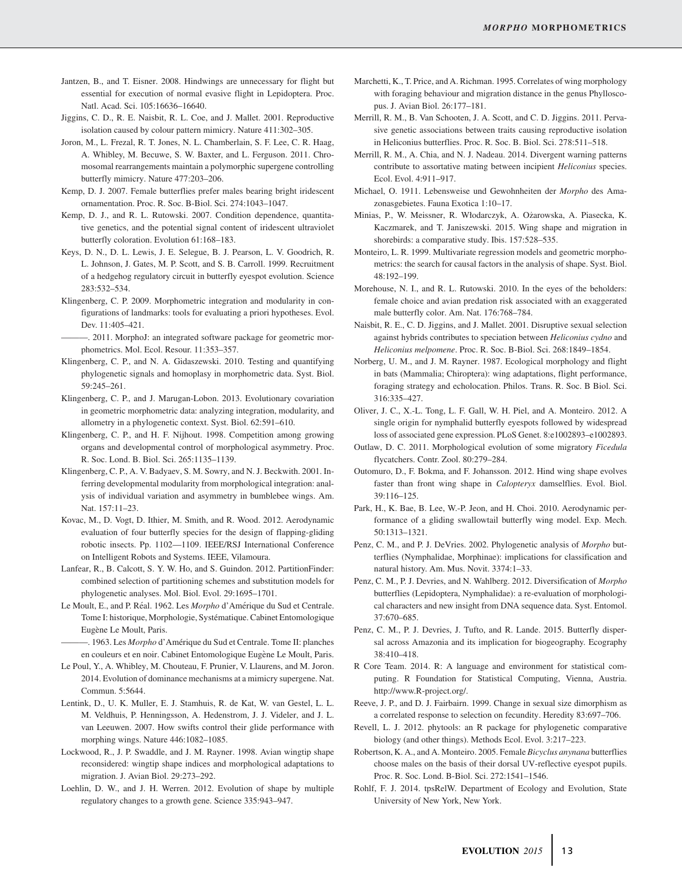- Jantzen, B., and T. Eisner. 2008. Hindwings are unnecessary for flight but essential for execution of normal evasive flight in Lepidoptera. Proc. Natl. Acad. Sci. 105:16636–16640.
- Jiggins, C. D., R. E. Naisbit, R. L. Coe, and J. Mallet. 2001. Reproductive isolation caused by colour pattern mimicry. Nature 411:302–305.
- Joron, M., L. Frezal, R. T. Jones, N. L. Chamberlain, S. F. Lee, C. R. Haag, A. Whibley, M. Becuwe, S. W. Baxter, and L. Ferguson. 2011. Chromosomal rearrangements maintain a polymorphic supergene controlling butterfly mimicry. Nature 477:203–206.
- Kemp, D. J. 2007. Female butterflies prefer males bearing bright iridescent ornamentation. Proc. R. Soc. B-Biol. Sci. 274:1043–1047.
- Kemp, D. J., and R. L. Rutowski. 2007. Condition dependence, quantitative genetics, and the potential signal content of iridescent ultraviolet butterfly coloration. Evolution 61:168–183.
- Keys, D. N., D. L. Lewis, J. E. Selegue, B. J. Pearson, L. V. Goodrich, R. L. Johnson, J. Gates, M. P. Scott, and S. B. Carroll. 1999. Recruitment of a hedgehog regulatory circuit in butterfly eyespot evolution. Science 283:532–534.
- Klingenberg, C. P. 2009. Morphometric integration and modularity in configurations of landmarks: tools for evaluating a priori hypotheses. Evol. Dev. 11:405–421.
- ———. 2011. MorphoJ: an integrated software package for geometric morphometrics. Mol. Ecol. Resour. 11:353–357.
- Klingenberg, C. P., and N. A. Gidaszewski. 2010. Testing and quantifying phylogenetic signals and homoplasy in morphometric data. Syst. Biol. 59:245–261.
- Klingenberg, C. P., and J. Marugan-Lobon. 2013. Evolutionary covariation in geometric morphometric data: analyzing integration, modularity, and allometry in a phylogenetic context. Syst. Biol. 62:591–610.
- Klingenberg, C. P., and H. F. Nijhout. 1998. Competition among growing organs and developmental control of morphological asymmetry. Proc. R. Soc. Lond. B. Biol. Sci. 265:1135–1139.
- Klingenberg, C. P., A. V. Badyaev, S. M. Sowry, and N. J. Beckwith. 2001. Inferring developmental modularity from morphological integration: analysis of individual variation and asymmetry in bumblebee wings. Am. Nat. 157:11–23.
- Kovac, M., D. Vogt, D. Ithier, M. Smith, and R. Wood. 2012. Aerodynamic evaluation of four butterfly species for the design of flapping-gliding robotic insects. Pp. 1102—1109. IEEE/RSJ International Conference on Intelligent Robots and Systems. IEEE, Vilamoura.
- Lanfear, R., B. Calcott, S. Y. W. Ho, and S. Guindon. 2012. PartitionFinder: combined selection of partitioning schemes and substitution models for phylogenetic analyses. Mol. Biol. Evol. 29:1695–1701.
- Le Moult, E., and P. Réal. 1962. Les *Morpho* d'Amérique du Sud et Centrale. Tome I: historique, Morphologie, Systematique. Cabinet Entomologique ´ Eugène Le Moult, Paris.
- ———. 1963. Les *Morpho* d'Amerique du Sud et Centrale. Tome II: planches ´ en couleurs et en noir. Cabinet Entomologique Eugène Le Moult, Paris.
- Le Poul, Y., A. Whibley, M. Chouteau, F. Prunier, V. Llaurens, and M. Joron. 2014. Evolution of dominance mechanisms at a mimicry supergene. Nat. Commun. 5:5644.
- Lentink, D., U. K. Muller, E. J. Stamhuis, R. de Kat, W. van Gestel, L. L. M. Veldhuis, P. Henningsson, A. Hedenstrom, J. J. Videler, and J. L. van Leeuwen. 2007. How swifts control their glide performance with morphing wings. Nature 446:1082–1085.
- Lockwood, R., J. P. Swaddle, and J. M. Rayner. 1998. Avian wingtip shape reconsidered: wingtip shape indices and morphological adaptations to migration. J. Avian Biol. 29:273–292.
- Loehlin, D. W., and J. H. Werren. 2012. Evolution of shape by multiple regulatory changes to a growth gene. Science 335:943–947.
- Marchetti, K., T. Price, and A. Richman. 1995. Correlates of wing morphology with foraging behaviour and migration distance in the genus Phylloscopus. J. Avian Biol. 26:177–181.
- Merrill, R. M., B. Van Schooten, J. A. Scott, and C. D. Jiggins. 2011. Pervasive genetic associations between traits causing reproductive isolation in Heliconius butterflies. Proc. R. Soc. B. Biol. Sci. 278:511–518.
- Merrill, R. M., A. Chia, and N. J. Nadeau. 2014. Divergent warning patterns contribute to assortative mating between incipient *Heliconius* species. Ecol. Evol. 4:911–917.
- Michael, O. 1911. Lebensweise und Gewohnheiten der *Morpho* des Amazonasgebietes. Fauna Exotica 1:10–17.
- Minias, P., W. Meissner, R. Włodarczyk, A. Ozarowska, A. Piasecka, K. ˙ Kaczmarek, and T. Janiszewski. 2015. Wing shape and migration in shorebirds: a comparative study. Ibis. 157:528–535.
- Monteiro, L. R. 1999. Multivariate regression models and geometric morphometrics: the search for causal factors in the analysis of shape. Syst. Biol. 48:192–199.
- Morehouse, N. I., and R. L. Rutowski. 2010. In the eyes of the beholders: female choice and avian predation risk associated with an exaggerated male butterfly color. Am. Nat. 176:768–784.
- Naisbit, R. E., C. D. Jiggins, and J. Mallet. 2001. Disruptive sexual selection against hybrids contributes to speciation between *Heliconius cydno* and *Heliconius melpomene*. Proc. R. Soc. B-Biol. Sci. 268:1849–1854.
- Norberg, U. M., and J. M. Rayner. 1987. Ecological morphology and flight in bats (Mammalia; Chiroptera): wing adaptations, flight performance, foraging strategy and echolocation. Philos. Trans. R. Soc. B Biol. Sci. 316:335–427.
- Oliver, J. C., X.-L. Tong, L. F. Gall, W. H. Piel, and A. Monteiro. 2012. A single origin for nymphalid butterfly eyespots followed by widespread loss of associated gene expression. PLoS Genet. 8:e1002893–e1002893.
- Outlaw, D. C. 2011. Morphological evolution of some migratory *Ficedula* flycatchers. Contr. Zool. 80:279–284.
- Outomuro, D., F. Bokma, and F. Johansson. 2012. Hind wing shape evolves faster than front wing shape in *Calopteryx* damselflies. Evol. Biol. 39:116–125.
- Park, H., K. Bae, B. Lee, W.-P. Jeon, and H. Choi. 2010. Aerodynamic performance of a gliding swallowtail butterfly wing model. Exp. Mech. 50:1313–1321.
- Penz, C. M., and P. J. DeVries. 2002. Phylogenetic analysis of *Morpho* butterflies (Nymphalidae, Morphinae): implications for classification and natural history. Am. Mus. Novit. 3374:1–33.
- Penz, C. M., P. J. Devries, and N. Wahlberg. 2012. Diversification of *Morpho* butterflies (Lepidoptera, Nymphalidae): a re-evaluation of morphological characters and new insight from DNA sequence data. Syst. Entomol. 37:670–685.
- Penz, C. M., P. J. Devries, J. Tufto, and R. Lande. 2015. Butterfly dispersal across Amazonia and its implication for biogeography. Ecography 38:410–418.
- R Core Team. 2014. R: A language and environment for statistical computing. R Foundation for Statistical Computing, Vienna, Austria. [http://www.R-project.org/.](http://www.R-project.org/)
- Reeve, J. P., and D. J. Fairbairn. 1999. Change in sexual size dimorphism as a correlated response to selection on fecundity. Heredity 83:697–706.
- Revell, L. J. 2012. phytools: an R package for phylogenetic comparative biology (and other things). Methods Ecol. Evol. 3:217–223.
- Robertson, K. A., and A. Monteiro. 2005. Female *Bicyclus anynana* butterflies choose males on the basis of their dorsal UV-reflective eyespot pupils. Proc. R. Soc. Lond. B-Biol. Sci. 272:1541–1546.
- Rohlf, F. J. 2014. tpsRelW. Department of Ecology and Evolution, State University of New York, New York.